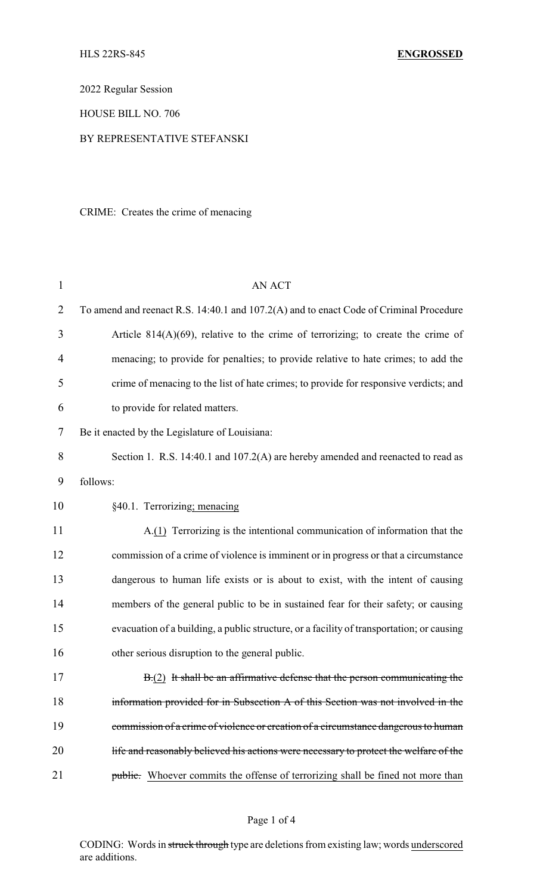2022 Regular Session

HOUSE BILL NO. 706

## BY REPRESENTATIVE STEFANSKI

CRIME: Creates the crime of menacing

| $\mathbf{1}$   | <b>AN ACT</b>                                                                             |
|----------------|-------------------------------------------------------------------------------------------|
| $\overline{2}$ | To amend and reenact R.S. 14:40.1 and 107.2(A) and to enact Code of Criminal Procedure    |
| 3              | Article $814(A)(69)$ , relative to the crime of terrorizing; to create the crime of       |
| 4              | menacing; to provide for penalties; to provide relative to hate crimes; to add the        |
| 5              | crime of menacing to the list of hate crimes; to provide for responsive verdicts; and     |
| 6              | to provide for related matters.                                                           |
| 7              | Be it enacted by the Legislature of Louisiana:                                            |
| 8              | Section 1. R.S. 14:40.1 and 107.2(A) are hereby amended and reenacted to read as          |
| 9              | follows:                                                                                  |
| 10             | §40.1. Terrorizing; menacing                                                              |
| 11             | A.(1) Terrorizing is the intentional communication of information that the                |
| 12             | commission of a crime of violence is imminent or in progress or that a circumstance       |
| 13             | dangerous to human life exists or is about to exist, with the intent of causing           |
| 14             | members of the general public to be in sustained fear for their safety; or causing        |
| 15             | evacuation of a building, a public structure, or a facility of transportation; or causing |
| 16             | other serious disruption to the general public.                                           |
| 17             | $B(2)$ It shall be an affirmative defense that the person communicating the               |
| 18             | information provided for in Subsection A of this Section was not involved in the          |
| 19             | commission of a crime of violence or creation of a circumstance dangerous to human        |
| 20             | life and reasonably believed his actions were necessary to protect the welfare of the     |
| 21             | <b>public.</b> Whoever commits the offense of terrorizing shall be fined not more than    |

CODING: Words in struck through type are deletions from existing law; words underscored are additions.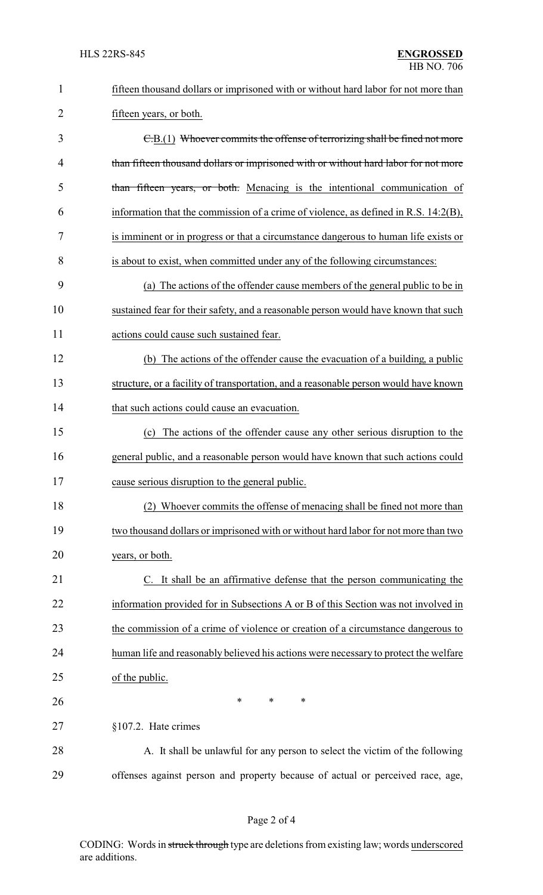| $\mathbf{1}$ | fifteen thousand dollars or imprisoned with or without hard labor for not more than  |
|--------------|--------------------------------------------------------------------------------------|
| 2            | fifteen years, or both.                                                              |
| 3            | E.B.(1) Whoever commits the offense of terrorizing shall be fined not more           |
| 4            | than fifteen thousand dollars or imprisoned with or without hard labor for not more  |
| 5            | than fifteen years, or both. Menacing is the intentional communication of            |
| 6            | information that the commission of a crime of violence, as defined in R.S. 14:2(B),  |
| 7            | is imminent or in progress or that a circumstance dangerous to human life exists or  |
| 8            | is about to exist, when committed under any of the following circumstances:          |
| 9            | (a) The actions of the offender cause members of the general public to be in         |
| 10           | sustained fear for their safety, and a reasonable person would have known that such  |
| 11           | actions could cause such sustained fear.                                             |
| 12           | (b) The actions of the offender cause the evacuation of a building, a public         |
| 13           | structure, or a facility of transportation, and a reasonable person would have known |
| 14           | that such actions could cause an evacuation.                                         |
| 15           | (c) The actions of the offender cause any other serious disruption to the            |
| 16           | general public, and a reasonable person would have known that such actions could     |
| 17           | cause serious disruption to the general public.                                      |
| 18           | Whoever commits the offense of menacing shall be fined not more than                 |
| 19           | two thousand dollars or imprisoned with or without hard labor for not more than two  |
| 20           | years, or both.                                                                      |
| 21           | C. It shall be an affirmative defense that the person communicating the              |
| 22           | information provided for in Subsections A or B of this Section was not involved in   |
| 23           | the commission of a crime of violence or creation of a circumstance dangerous to     |
| 24           | human life and reasonably believed his actions were necessary to protect the welfare |
| 25           | of the public.                                                                       |
| 26           | *<br>*<br>∗                                                                          |
| 27           | §107.2. Hate crimes                                                                  |
| 28           | A. It shall be unlawful for any person to select the victim of the following         |
| 29           | offenses against person and property because of actual or perceived race, age,       |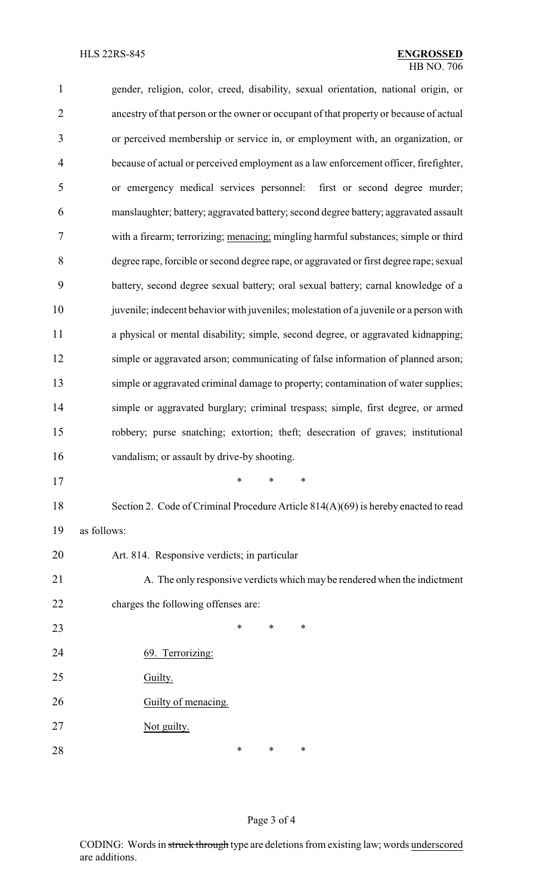| $\mathbf{1}$   | gender, religion, color, creed, disability, sexual orientation, national origin, or     |  |  |  |
|----------------|-----------------------------------------------------------------------------------------|--|--|--|
| $\overline{2}$ | ancestry of that person or the owner or occupant of that property or because of actual  |  |  |  |
| 3              | or perceived membership or service in, or employment with, an organization, or          |  |  |  |
| $\overline{4}$ | because of actual or perceived employment as a law enforcement officer, firefighter,    |  |  |  |
| 5              | or emergency medical services personnel: first or second degree murder;                 |  |  |  |
| 6              | manslaughter; battery; aggravated battery; second degree battery; aggravated assault    |  |  |  |
| 7              | with a firearm; terrorizing; menacing; mingling harmful substances; simple or third     |  |  |  |
| 8              | degree rape, forcible or second degree rape, or aggravated or first degree rape; sexual |  |  |  |
| 9              | battery, second degree sexual battery; oral sexual battery; carnal knowledge of a       |  |  |  |
| 10             | juvenile; indecent behavior with juveniles; molestation of a juvenile or a person with  |  |  |  |
| 11             | a physical or mental disability; simple, second degree, or aggravated kidnapping;       |  |  |  |
| 12             | simple or aggravated arson; communicating of false information of planned arson;        |  |  |  |
| 13             | simple or aggravated criminal damage to property; contamination of water supplies;      |  |  |  |
| 14             | simple or aggravated burglary; criminal trespass; simple, first degree, or armed        |  |  |  |
| 15             | robbery; purse snatching; extortion; theft; desecration of graves; institutional        |  |  |  |
| 16             | vandalism; or assault by drive-by shooting.                                             |  |  |  |
| 17             | *                                                                                       |  |  |  |
| 18             | Section 2. Code of Criminal Procedure Article 814(A)(69) is hereby enacted to read      |  |  |  |
| 19             | as follows:                                                                             |  |  |  |
| 20             | Art. 814. Responsive verdicts; in particular                                            |  |  |  |
| 21             | A. The only responsive verdicts which may be rendered when the indictment               |  |  |  |
| 22             | charges the following offenses are:                                                     |  |  |  |
| 23             | ∗<br>*<br>*                                                                             |  |  |  |
| 24             | 69. Terrorizing:                                                                        |  |  |  |
| 25             | Guilty.                                                                                 |  |  |  |
| 26             | Guilty of menacing.                                                                     |  |  |  |
| 27             | Not guilty.                                                                             |  |  |  |
| 28             | ∗<br>∗<br>∗                                                                             |  |  |  |

## Page 3 of 4